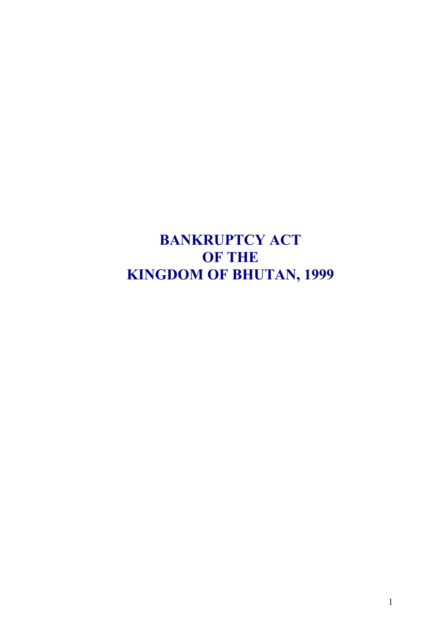<span id="page-0-0"></span>**BANKRUPTCY ACT OF THE KINGDOM OF BHUTAN, 1999**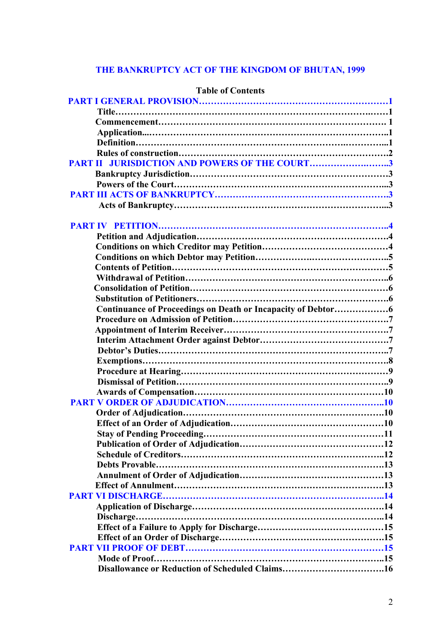# <span id="page-1-0"></span>**[THE BANKRUPTCY ACT OF THE KINGDOM OF BHUTAN, 1999](#page-3-0)**

| L'AVIT VI CONTENTS                            |  |
|-----------------------------------------------|--|
|                                               |  |
|                                               |  |
|                                               |  |
|                                               |  |
|                                               |  |
|                                               |  |
| PART II JURISDICTION AND POWERS OF THE COURT3 |  |
|                                               |  |
|                                               |  |
|                                               |  |
|                                               |  |
|                                               |  |
|                                               |  |
|                                               |  |
|                                               |  |
|                                               |  |
|                                               |  |
|                                               |  |
|                                               |  |
|                                               |  |
|                                               |  |
|                                               |  |
|                                               |  |
|                                               |  |
|                                               |  |
|                                               |  |
|                                               |  |
|                                               |  |
|                                               |  |
|                                               |  |
|                                               |  |
|                                               |  |
|                                               |  |
| <b>Stay of Pending Proceeding</b>             |  |
|                                               |  |
|                                               |  |
|                                               |  |
|                                               |  |
|                                               |  |
|                                               |  |
|                                               |  |
|                                               |  |
|                                               |  |
|                                               |  |
|                                               |  |
|                                               |  |
|                                               |  |
|                                               |  |

# **Table of Contents**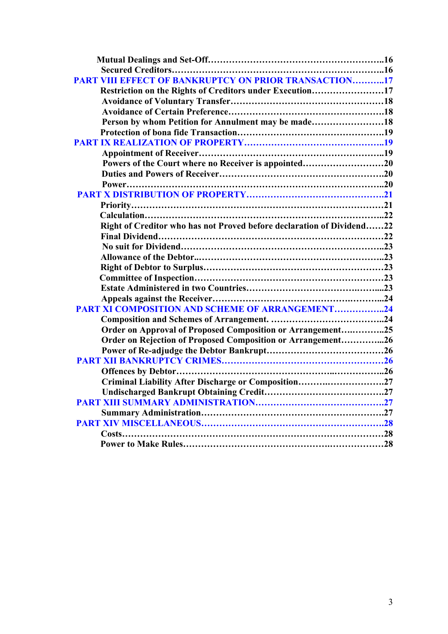<span id="page-2-0"></span>

| <b>PART VIII EFFECT OF BANKRUPTCY ON PRIOR TRANSACTION17</b>          |  |
|-----------------------------------------------------------------------|--|
| Restriction on the Rights of Creditors under Execution17              |  |
|                                                                       |  |
|                                                                       |  |
| Person by whom Petition for Annulment may be made18                   |  |
|                                                                       |  |
|                                                                       |  |
|                                                                       |  |
| Powers of the Court where no Receiver is appointed20                  |  |
|                                                                       |  |
|                                                                       |  |
|                                                                       |  |
|                                                                       |  |
|                                                                       |  |
| Right of Creditor who has not Proved before declaration of Dividend22 |  |
|                                                                       |  |
|                                                                       |  |
|                                                                       |  |
|                                                                       |  |
|                                                                       |  |
|                                                                       |  |
|                                                                       |  |
| <b>PART XI COMPOSITION AND SCHEME OF ARRANGEMENT24</b>                |  |
|                                                                       |  |
| Order on Approval of Proposed Composition or Arrangement25            |  |
| Order on Rejection of Proposed Composition or Arrangement26           |  |
|                                                                       |  |
|                                                                       |  |
|                                                                       |  |
| Criminal Liability After Discharge or Composition27                   |  |
|                                                                       |  |
|                                                                       |  |
|                                                                       |  |
|                                                                       |  |
|                                                                       |  |
|                                                                       |  |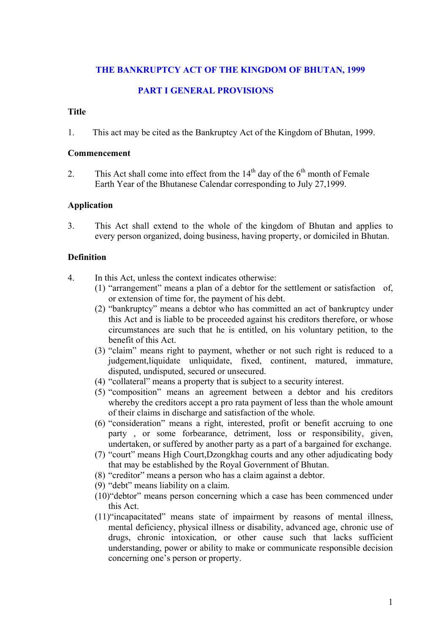### <span id="page-3-0"></span>**[THE BANKRUPTCY ACT OF THE KINGDOM OF BHUTAN, 1999](#page-0-0)**

### **[PART I GENERAL PROVISIONS](#page-1-0)**

#### **Title**

1. This act may be cited as the Bankruptcy Act of the Kingdom of Bhutan, 1999.

#### **Commencement**

2. This Act shall come into effect from the  $14<sup>th</sup>$  day of the 6<sup>th</sup> month of Female Earth Year of the Bhutanese Calendar corresponding to July 27,1999.

#### **Application**

3. This Act shall extend to the whole of the kingdom of Bhutan and applies to every person organized, doing business, having property, or domiciled in Bhutan.

#### **Definition**

- 4. In this Act, unless the context indicates otherwise:
	- (1) "arrangement" means a plan of a debtor for the settlement or satisfaction of, or extension of time for, the payment of his debt.
	- (2) "bankruptcy" means a debtor who has committed an act of bankruptcy under this Act and is liable to be proceeded against his creditors therefore, or whose circumstances are such that he is entitled, on his voluntary petition, to the benefit of this Act.
	- (3) "claim" means right to payment, whether or not such right is reduced to a judgement,liquidate unliquidate, fixed, continent, matured, immature, disputed, undisputed, secured or unsecured.
	- (4) "collateral" means a property that is subject to a security interest.
	- (5) "composition" means an agreement between a debtor and his creditors whereby the creditors accept a pro rata payment of less than the whole amount of their claims in discharge and satisfaction of the whole.
	- (6) "consideration" means a right, interested, profit or benefit accruing to one party , or some forbearance, detriment, loss or responsibility, given, undertaken, or suffered by another party as a part of a bargained for exchange.
	- (7) "court" means High Court,Dzongkhag courts and any other adjudicating body that may be established by the Royal Government of Bhutan.
	- (8) "creditor" means a person who has a claim against a debtor.
	- (9) "debt" means liability on a claim.
	- (10)"debtor" means person concerning which a case has been commenced under this Act.
	- (11)"incapacitated" means state of impairment by reasons of mental illness, mental deficiency, physical illness or disability, advanced age, chronic use of drugs, chronic intoxication, or other cause such that lacks sufficient understanding, power or ability to make or communicate responsible decision concerning one's person or property.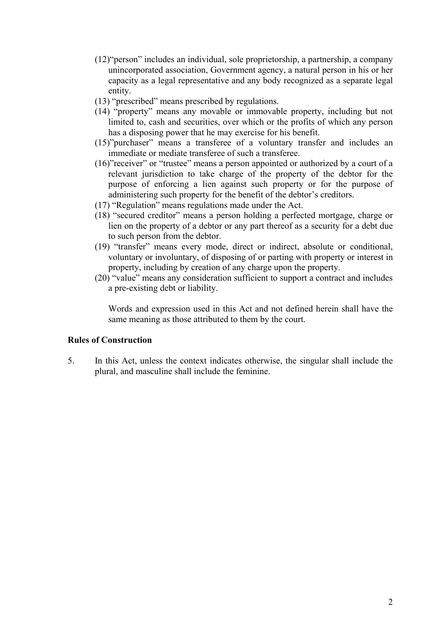- <span id="page-4-0"></span>(12)"person" includes an individual, sole proprietorship, a partnership, a company unincorporated association, Government agency, a natural person in his or her capacity as a legal representative and any body recognized as a separate legal entity.
- (13) "prescribed" means prescribed by regulations.
- (14) "property" means any movable or immovable property, including but not limited to, cash and securities, over which or the profits of which any person has a disposing power that he may exercise for his benefit.
- (15)"purchaser" means a transferee of a voluntary transfer and includes an immediate or mediate transferee of such a transferee.
- (16)"receiver" or "trustee" means a person appointed or authorized by a court of a relevant jurisdiction to take charge of the property of the debtor for the purpose of enforcing a lien against such property or for the purpose of administering such property for the benefit of the debtor's creditors.
- (17) "Regulation" means regulations made under the Act.
- (18) "secured creditor" means a person holding a perfected mortgage, charge or lien on the property of a debtor or any part thereof as a security for a debt due to such person from the debtor.
- (19) "transfer" means every mode, direct or indirect, absolute or conditional, voluntary or involuntary, of disposing of or parting with property or interest in property, including by creation of any charge upon the property.
- (20) "value" means any consideration sufficient to support a contract and includes a pre-existing debt or liability.

Words and expression used in this Act and not defined herein shall have the same meaning as those attributed to them by the court.

#### **Rules of Construction**

5. In this Act, unless the context indicates otherwise, the singular shall include the plural, and masculine shall include the feminine.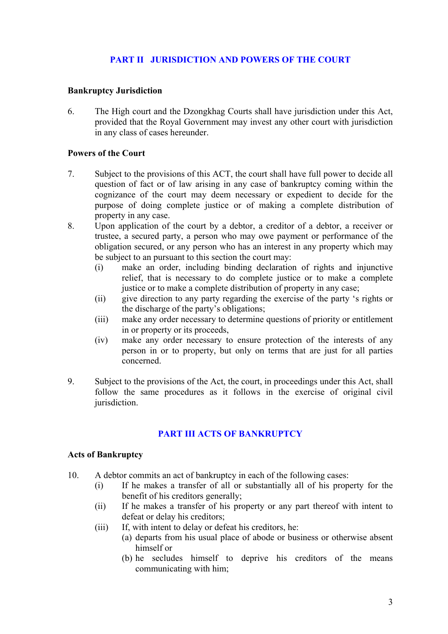# **[PART II JURISDICTION AND POWERS OF THE COURT](#page-1-0)**

### <span id="page-5-0"></span>**Bankruptcy Jurisdiction**

6. The High court and the Dzongkhag Courts shall have jurisdiction under this Act, provided that the Royal Government may invest any other court with jurisdiction in any class of cases hereunder.

### **Powers of the Court**

- 7. Subject to the provisions of this ACT, the court shall have full power to decide all question of fact or of law arising in any case of bankruptcy coming within the cognizance of the court may deem necessary or expedient to decide for the purpose of doing complete justice or of making a complete distribution of property in any case.
- 8. Upon application of the court by a debtor, a creditor of a debtor, a receiver or trustee, a secured party, a person who may owe payment or performance of the obligation secured, or any person who has an interest in any property which may be subject to an pursuant to this section the court may:
	- (i) make an order, including binding declaration of rights and injunctive relief, that is necessary to do complete justice or to make a complete justice or to make a complete distribution of property in any case;
	- (ii) give direction to any party regarding the exercise of the party 's rights or the discharge of the party's obligations;
	- (iii) make any order necessary to determine questions of priority or entitlement in or property or its proceeds,
	- (iv) make any order necessary to ensure protection of the interests of any person in or to property, but only on terms that are just for all parties concerned.
- 9. Subject to the provisions of the Act, the court, in proceedings under this Act, shall follow the same procedures as it follows in the exercise of original civil jurisdiction.

# **[PART III ACTS OF BANKRUPTCY](#page-1-0)**

#### **Acts of Bankruptcy**

- 10. A debtor commits an act of bankruptcy in each of the following cases:
	- (i) If he makes a transfer of all or substantially all of his property for the benefit of his creditors generally;
	- (ii) If he makes a transfer of his property or any part thereof with intent to defeat or delay his creditors;
	- (iii) If, with intent to delay or defeat his creditors, he:
		- (a) departs from his usual place of abode or business or otherwise absent himself or
		- (b) he secludes himself to deprive his creditors of the means communicating with him;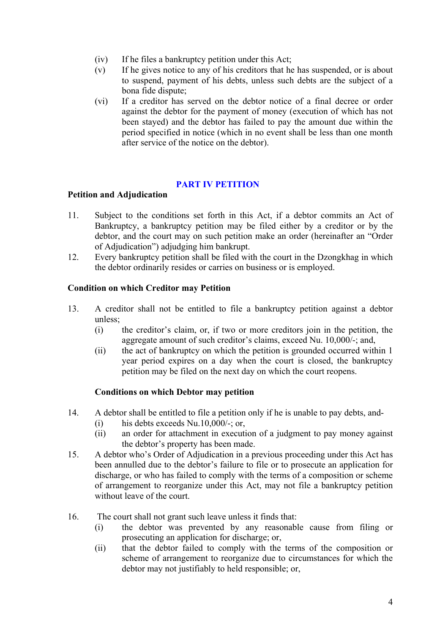- <span id="page-6-0"></span>(iv) If he files a bankruptcy petition under this Act;
- (v) If he gives notice to any of his creditors that he has suspended, or is about to suspend, payment of his debts, unless such debts are the subject of a bona fide dispute;
- (vi) If a creditor has served on the debtor notice of a final decree or order against the debtor for the payment of money (execution of which has not been stayed) and the debtor has failed to pay the amount due within the period specified in notice (which in no event shall be less than one month after service of the notice on the debtor).

### **[PART IV PETITION](#page-1-0)**

### **Petition and Adjudication**

- 11. Subject to the conditions set forth in this Act, if a debtor commits an Act of Bankruptcy, a bankruptcy petition may be filed either by a creditor or by the debtor, and the court may on such petition make an order (hereinafter an "Order of Adjudication") adjudging him bankrupt.
- 12. Every bankruptcy petition shall be filed with the court in the Dzongkhag in which the debtor ordinarily resides or carries on business or is employed.

### **Condition on which Creditor may Petition**

- 13. A creditor shall not be entitled to file a bankruptcy petition against a debtor unless;
	- (i) the creditor's claim, or, if two or more creditors join in the petition, the aggregate amount of such creditor's claims, exceed Nu. 10,000/-; and,
	- (ii) the act of bankruptcy on which the petition is grounded occurred within 1 year period expires on a day when the court is closed, the bankruptcy petition may be filed on the next day on which the court reopens.

## **Conditions on which Debtor may petition**

- 14. A debtor shall be entitled to file a petition only if he is unable to pay debts, and-
	- (i) his debts exceeds  $Nu.10,000/-$ ; or,
	- (ii) an order for attachment in execution of a judgment to pay money against the debtor's property has been made.
- 15. A debtor who's Order of Adjudication in a previous proceeding under this Act has been annulled due to the debtor's failure to file or to prosecute an application for discharge, or who has failed to comply with the terms of a composition or scheme of arrangement to reorganize under this Act, may not file a bankruptcy petition without leave of the court.
- 16. The court shall not grant such leave unless it finds that:
	- (i) the debtor was prevented by any reasonable cause from filing or prosecuting an application for discharge; or,
	- (ii) that the debtor failed to comply with the terms of the composition or scheme of arrangement to reorganize due to circumstances for which the debtor may not justifiably to held responsible; or,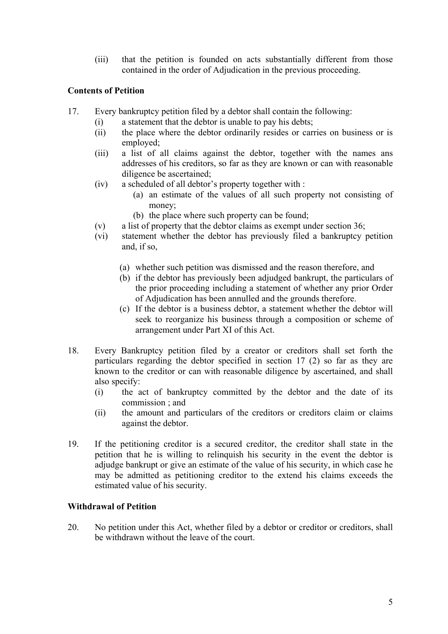(iii) that the petition is founded on acts substantially different from those contained in the order of Adjudication in the previous proceeding.

## **Contents of Petition**

- 17. Every bankruptcy petition filed by a debtor shall contain the following:
	- (i) a statement that the debtor is unable to pay his debts;
	- (ii) the place where the debtor ordinarily resides or carries on business or is employed;
	- (iii) a list of all claims against the debtor, together with the names ans addresses of his creditors, so far as they are known or can with reasonable diligence be ascertained;
	- (iv) a scheduled of all debtor's property together with :
		- (a) an estimate of the values of all such property not consisting of money;
		- (b) the place where such property can be found;
	- (v) a list of property that the debtor claims as exempt under section 36;
	- (vi) statement whether the debtor has previously filed a bankruptcy petition and, if so,
		- (a) whether such petition was dismissed and the reason therefore, and
		- (b) if the debtor has previously been adjudged bankrupt, the particulars of the prior proceeding including a statement of whether any prior Order of Adjudication has been annulled and the grounds therefore.
		- (c) If the debtor is a business debtor, a statement whether the debtor will seek to reorganize his business through a composition or scheme of arrangement under Part XI of this Act.
- 18. Every Bankruptcy petition filed by a creator or creditors shall set forth the particulars regarding the debtor specified in section 17 (2) so far as they are known to the creditor or can with reasonable diligence by ascertained, and shall also specify:
	- (i) the act of bankruptcy committed by the debtor and the date of its commission ; and
	- (ii) the amount and particulars of the creditors or creditors claim or claims against the debtor.
- 19. If the petitioning creditor is a secured creditor, the creditor shall state in the petition that he is willing to relinquish his security in the event the debtor is adjudge bankrupt or give an estimate of the value of his security, in which case he may be admitted as petitioning creditor to the extend his claims exceeds the estimated value of his security.

## **Withdrawal of Petition**

20. No petition under this Act, whether filed by a debtor or creditor or creditors, shall be withdrawn without the leave of the court.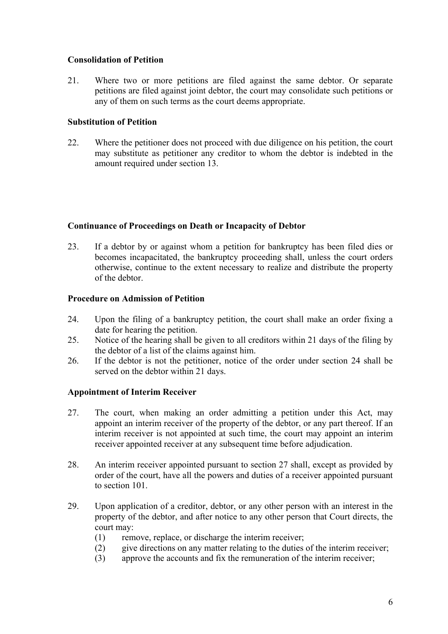## **Consolidation of Petition**

21. Where two or more petitions are filed against the same debtor. Or separate petitions are filed against joint debtor, the court may consolidate such petitions or any of them on such terms as the court deems appropriate.

### **Substitution of Petition**

22. Where the petitioner does not proceed with due diligence on his petition, the court may substitute as petitioner any creditor to whom the debtor is indebted in the amount required under section 13.

### **Continuance of Proceedings on Death or Incapacity of Debtor**

23. If a debtor by or against whom a petition for bankruptcy has been filed dies or becomes incapacitated, the bankruptcy proceeding shall, unless the court orders otherwise, continue to the extent necessary to realize and distribute the property of the debtor.

### **Procedure on Admission of Petition**

- 24. Upon the filing of a bankruptcy petition, the court shall make an order fixing a date for hearing the petition.
- 25. Notice of the hearing shall be given to all creditors within 21 days of the filing by the debtor of a list of the claims against him.
- 26. If the debtor is not the petitioner, notice of the order under section 24 shall be served on the debtor within 21 days.

## **Appointment of Interim Receiver**

- 27. The court, when making an order admitting a petition under this Act, may appoint an interim receiver of the property of the debtor, or any part thereof. If an interim receiver is not appointed at such time, the court may appoint an interim receiver appointed receiver at any subsequent time before adjudication.
- 28. An interim receiver appointed pursuant to section 27 shall, except as provided by order of the court, have all the powers and duties of a receiver appointed pursuant to section 101
- 29. Upon application of a creditor, debtor, or any other person with an interest in the property of the debtor, and after notice to any other person that Court directs, the court may:
	- (1) remove, replace, or discharge the interim receiver;
	- (2) give directions on any matter relating to the duties of the interim receiver;
	- (3) approve the accounts and fix the remuneration of the interim receiver;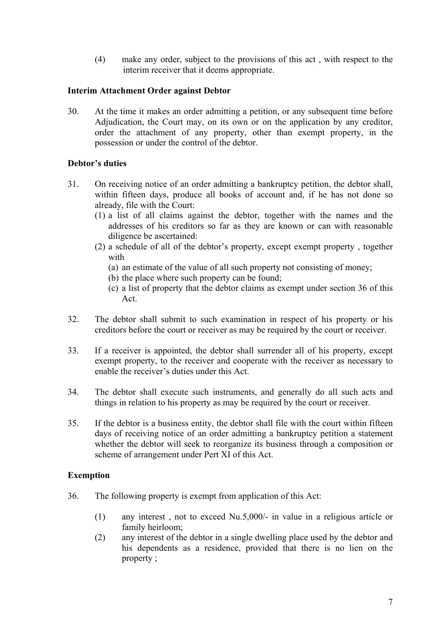(4) make any order, subject to the provisions of this act , with respect to the interim receiver that it deems appropriate.

### **Interim Attachment Order against Debtor**

30. At the time it makes an order admitting a petition, or any subsequent time before Adjudication, the Court may, on its own or on the application by any creditor, order the attachment of any property, other than exempt property, in the possession or under the control of the debtor.

## **Debtor's duties**

- 31. On receiving notice of an order admitting a bankruptcy petition, the debtor shall, within fifteen days, produce all books of account and, if he has not done so already, file with the Court:
	- (1) a list of all claims against the debtor, together with the names and the addresses of his creditors so far as they are known or can with reasonable diligence be ascertained:
	- (2) a schedule of all of the debtor's property, except exempt property , together with
		- (a) an estimate of the value of all such property not consisting of money;
		- (b) the place where such property can be found;
		- (c) a list of property that the debtor claims as exempt under section 36 of this Act.
- 32. The debtor shall submit to such examination in respect of his property or his creditors before the court or receiver as may be required by the court or receiver.
- 33. If a receiver is appointed, the debtor shall surrender all of his property, except exempt property, to the receiver and cooperate with the receiver as necessary to enable the receiver's duties under this Act.
- 34. The debtor shall execute such instruments, and generally do all such acts and things in relation to his property as may be required by the court or receiver.
- 35. If the debtor is a business entity, the debtor shall file with the court within fifteen days of receiving notice of an order admitting a bankruptcy petition a statement whether the debtor will seek to reorganize its business through a composition or scheme of arrangement under Pert XI of this Act.

#### **Exemption**

- 36. The following property is exempt from application of this Act:
	- (1) any interest , not to exceed Nu.5,000/- in value in a religious article or family heirloom;
	- (2) any interest of the debtor in a single dwelling place used by the debtor and his dependents as a residence, provided that there is no lien on the property ;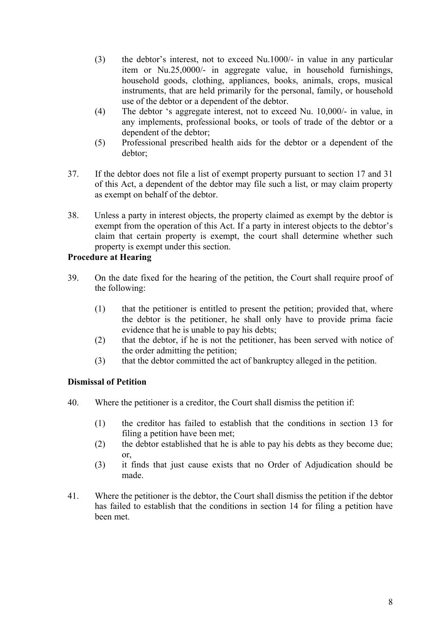- (3) the debtor's interest, not to exceed Nu.1000/- in value in any particular item or Nu.25,0000/- in aggregate value, in household furnishings, household goods, clothing, appliances, books, animals, crops, musical instruments, that are held primarily for the personal, family, or household use of the debtor or a dependent of the debtor.
- (4) The debtor 's aggregate interest, not to exceed Nu. 10,000/- in value, in any implements, professional books, or tools of trade of the debtor or a dependent of the debtor;
- (5) Professional prescribed health aids for the debtor or a dependent of the debtor;
- 37. If the debtor does not file a list of exempt property pursuant to section 17 and 31 of this Act, a dependent of the debtor may file such a list, or may claim property as exempt on behalf of the debtor.
- 38. Unless a party in interest objects, the property claimed as exempt by the debtor is exempt from the operation of this Act. If a party in interest objects to the debtor's claim that certain property is exempt, the court shall determine whether such property is exempt under this section.

# **Procedure at Hearing**

- 39. On the date fixed for the hearing of the petition, the Court shall require proof of the following:
	- (1) that the petitioner is entitled to present the petition; provided that, where the debtor is the petitioner, he shall only have to provide prima facie evidence that he is unable to pay his debts;
	- (2) that the debtor, if he is not the petitioner, has been served with notice of the order admitting the petition;
	- (3) that the debtor committed the act of bankruptcy alleged in the petition.

## **Dismissal of Petition**

- 40. Where the petitioner is a creditor, the Court shall dismiss the petition if:
	- (1) the creditor has failed to establish that the conditions in section 13 for filing a petition have been met;
	- (2) the debtor established that he is able to pay his debts as they become due; or,
	- (3) it finds that just cause exists that no Order of Adjudication should be made.
- 41. Where the petitioner is the debtor, the Court shall dismiss the petition if the debtor has failed to establish that the conditions in section 14 for filing a petition have been met.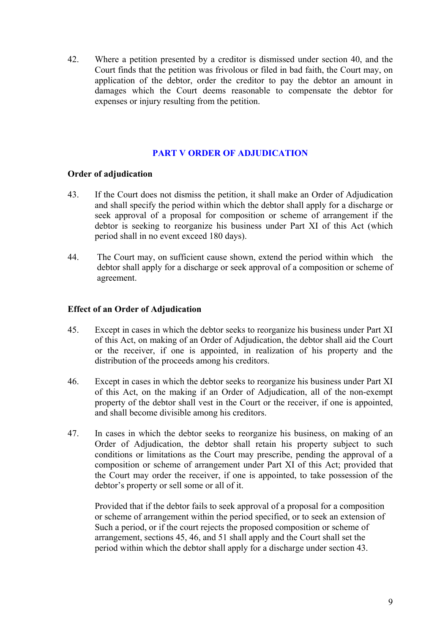<span id="page-11-0"></span>42. Where a petition presented by a creditor is dismissed under section 40, and the Court finds that the petition was frivolous or filed in bad faith, the Court may, on application of the debtor, order the creditor to pay the debtor an amount in damages which the Court deems reasonable to compensate the debtor for expenses or injury resulting from the petition.

# **[PART V ORDER OF ADJUDICATION](#page-1-0)**

## **Order of adjudication**

- 43. If the Court does not dismiss the petition, it shall make an Order of Adjudication and shall specify the period within which the debtor shall apply for a discharge or seek approval of a proposal for composition or scheme of arrangement if the debtor is seeking to reorganize his business under Part XI of this Act (which period shall in no event exceed 180 days).
- 44. The Court may, on sufficient cause shown, extend the period within which the debtor shall apply for a discharge or seek approval of a composition or scheme of agreement.

## **Effect of an Order of Adjudication**

- 45. Except in cases in which the debtor seeks to reorganize his business under Part XI of this Act, on making of an Order of Adjudication, the debtor shall aid the Court or the receiver, if one is appointed, in realization of his property and the distribution of the proceeds among his creditors.
- 46. Except in cases in which the debtor seeks to reorganize his business under Part XI of this Act, on the making if an Order of Adjudication, all of the non-exempt property of the debtor shall vest in the Court or the receiver, if one is appointed, and shall become divisible among his creditors.
- 47. In cases in which the debtor seeks to reorganize his business, on making of an Order of Adjudication, the debtor shall retain his property subject to such conditions or limitations as the Court may prescribe, pending the approval of a composition or scheme of arrangement under Part XI of this Act; provided that the Court may order the receiver, if one is appointed, to take possession of the debtor's property or sell some or all of it.

Provided that if the debtor fails to seek approval of a proposal for a composition or scheme of arrangement within the period specified, or to seek an extension of Such a period, or if the court rejects the proposed composition or scheme of arrangement, sections 45, 46, and 51 shall apply and the Court shall set the period within which the debtor shall apply for a discharge under section 43.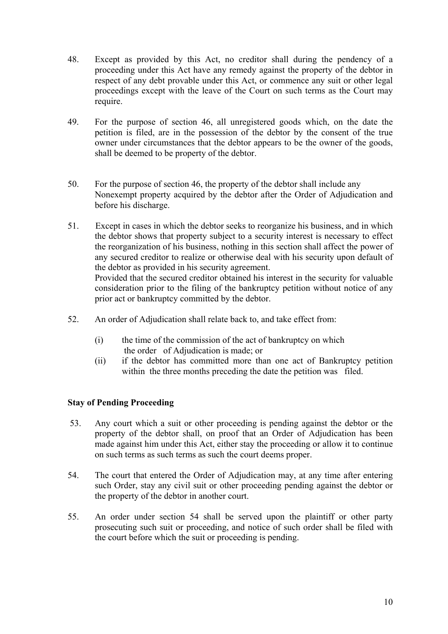- 48. Except as provided by this Act, no creditor shall during the pendency of a proceeding under this Act have any remedy against the property of the debtor in respect of any debt provable under this Act, or commence any suit or other legal proceedings except with the leave of the Court on such terms as the Court may require.
- 49. For the purpose of section 46, all unregistered goods which, on the date the petition is filed, are in the possession of the debtor by the consent of the true owner under circumstances that the debtor appears to be the owner of the goods, shall be deemed to be property of the debtor.
- 50. For the purpose of section 46, the property of the debtor shall include any Nonexempt property acquired by the debtor after the Order of Adjudication and before his discharge.
- 51. Except in cases in which the debtor seeks to reorganize his business, and in which the debtor shows that property subject to a security interest is necessary to effect the reorganization of his business, nothing in this section shall affect the power of any secured creditor to realize or otherwise deal with his security upon default of the debtor as provided in his security agreement. Provided that the secured creditor obtained his interest in the security for valuable consideration prior to the filing of the bankruptcy petition without notice of any prior act or bankruptcy committed by the debtor.
- 52. An order of Adjudication shall relate back to, and take effect from:
	- (i) the time of the commission of the act of bankruptcy on which the order of Adjudication is made; or
	- (ii) if the debtor has committed more than one act of Bankruptcy petition within the three months preceding the date the petition was filed.

## **Stay of Pending Proceeding**

- 53. Any court which a suit or other proceeding is pending against the debtor or the property of the debtor shall, on proof that an Order of Adjudication has been made against him under this Act, either stay the proceeding or allow it to continue on such terms as such terms as such the court deems proper.
- 54. The court that entered the Order of Adjudication may, at any time after entering such Order, stay any civil suit or other proceeding pending against the debtor or the property of the debtor in another court.
- 55. An order under section 54 shall be served upon the plaintiff or other party prosecuting such suit or proceeding, and notice of such order shall be filed with the court before which the suit or proceeding is pending.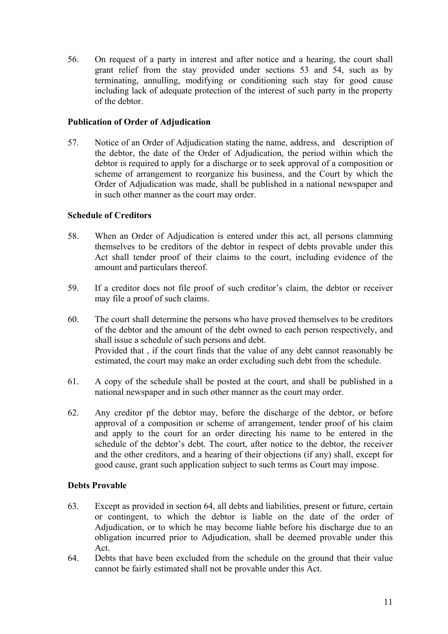56. On request of a party in interest and after notice and a hearing, the court shall grant relief from the stay provided under sections 53 and 54, such as by terminating, annulling, modifying or conditioning such stay for good cause including lack of adequate protection of the interest of such party in the property of the debtor.

## **Publication of Order of Adjudication**

57. Notice of an Order of Adjudication stating the name, address, and description of the debtor, the date of the Order of Adjudication, the period within which the debtor is required to apply for a discharge or to seek approval of a composition or scheme of arrangement to reorganize his business, and the Court by which the Order of Adjudication was made, shall be published in a national newspaper and in such other manner as the court may order.

# **Schedule of Creditors**

- 58. When an Order of Adjudication is entered under this act, all persons clamming themselves to be creditors of the debtor in respect of debts provable under this Act shall tender proof of their claims to the court, including evidence of the amount and particulars thereof.
- 59. If a creditor does not file proof of such creditor's claim, the debtor or receiver may file a proof of such claims.
- 60. The court shall determine the persons who have proved themselves to be creditors of the debtor and the amount of the debt owned to each person respectively, and shall issue a schedule of such persons and debt. Provided that , if the court finds that the value of any debt cannot reasonably be estimated, the court may make an order excluding such debt from the schedule.
- 61. A copy of the schedule shall be posted at the court, and shall be published in a national newspaper and in such other manner as the court may order.
- 62. Any creditor pf the debtor may, before the discharge of the debtor, or before approval of a composition or scheme of arrangement, tender proof of his claim and apply to the court for an order directing his name to be entered in the schedule of the debtor's debt. The court, after notice to the debtor, the receiver and the other creditors, and a hearing of their objections (if any) shall, except for good cause, grant such application subject to such terms as Court may impose.

## **Debts Provable**

- 63. Except as provided in section 64, all debts and liabilities, present or future, certain or contingent, to which the debtor is liable on the date of the order of Adjudication, or to which he may become liable before his discharge due to an obligation incurred prior to Adjudication, shall be deemed provable under this Act.
- 64. Debts that have been excluded from the schedule on the ground that their value cannot be fairly estimated shall not be provable under this Act.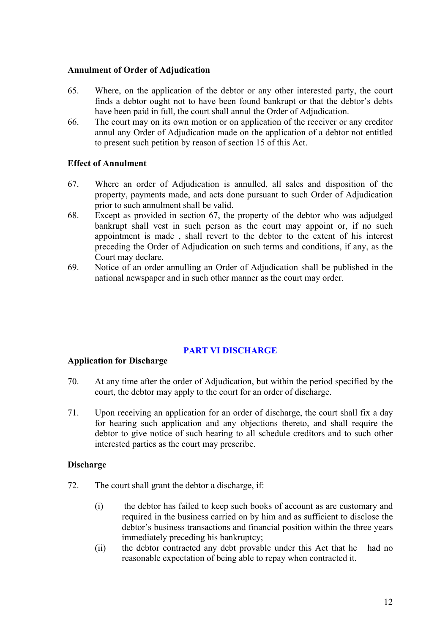#### <span id="page-14-0"></span>**Annulment of Order of Adjudication**

- 65. Where, on the application of the debtor or any other interested party, the court finds a debtor ought not to have been found bankrupt or that the debtor's debts have been paid in full, the court shall annul the Order of Adjudication.
- 66. The court may on its own motion or on application of the receiver or any creditor annul any Order of Adjudication made on the application of a debtor not entitled to present such petition by reason of section 15 of this Act.

## **Effect of Annulment**

- 67. Where an order of Adjudication is annulled, all sales and disposition of the property, payments made, and acts done pursuant to such Order of Adjudication prior to such annulment shall be valid.
- 68. Except as provided in section 67, the property of the debtor who was adjudged bankrupt shall vest in such person as the court may appoint or, if no such appointment is made , shall revert to the debtor to the extent of his interest preceding the Order of Adjudication on such terms and conditions, if any, as the Court may declare.
- 69. Notice of an order annulling an Order of Adjudication shall be published in the national newspaper and in such other manner as the court may order.

## **[PART VI DISCHARGE](#page-1-0)**

#### **Application for Discharge**

- 70. At any time after the order of Adjudication, but within the period specified by the court, the debtor may apply to the court for an order of discharge.
- 71. Upon receiving an application for an order of discharge, the court shall fix a day for hearing such application and any objections thereto, and shall require the debtor to give notice of such hearing to all schedule creditors and to such other interested parties as the court may prescribe.

## **Discharge**

- 72. The court shall grant the debtor a discharge, if:
	- (i) the debtor has failed to keep such books of account as are customary and required in the business carried on by him and as sufficient to disclose the debtor's business transactions and financial position within the three years immediately preceding his bankruptcy;
	- (ii) the debtor contracted any debt provable under this Act that he had no reasonable expectation of being able to repay when contracted it.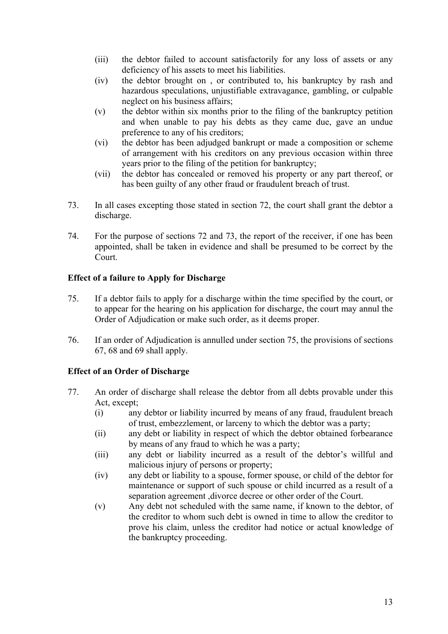- (iii) the debtor failed to account satisfactorily for any loss of assets or any deficiency of his assets to meet his liabilities.
- (iv) the debtor brought on , or contributed to, his bankruptcy by rash and hazardous speculations, unjustifiable extravagance, gambling, or culpable neglect on his business affairs;
- (v) the debtor within six months prior to the filing of the bankruptcy petition and when unable to pay his debts as they came due, gave an undue preference to any of his creditors;
- (vi) the debtor has been adjudged bankrupt or made a composition or scheme of arrangement with his creditors on any previous occasion within three years prior to the filing of the petition for bankruptcy;
- (vii) the debtor has concealed or removed his property or any part thereof, or has been guilty of any other fraud or fraudulent breach of trust.
- 73. In all cases excepting those stated in section 72, the court shall grant the debtor a discharge.
- 74. For the purpose of sections 72 and 73, the report of the receiver, if one has been appointed, shall be taken in evidence and shall be presumed to be correct by the Court.

# **Effect of a failure to Apply for Discharge**

- 75. If a debtor fails to apply for a discharge within the time specified by the court, or to appear for the hearing on his application for discharge, the court may annul the Order of Adjudication or make such order, as it deems proper.
- 76. If an order of Adjudication is annulled under section 75, the provisions of sections 67, 68 and 69 shall apply.

## **Effect of an Order of Discharge**

- 77. An order of discharge shall release the debtor from all debts provable under this Act, except;
	- (i) any debtor or liability incurred by means of any fraud, fraudulent breach of trust, embezzlement, or larceny to which the debtor was a party;
	- (ii) any debt or liability in respect of which the debtor obtained forbearance by means of any fraud to which he was a party;
	- (iii) any debt or liability incurred as a result of the debtor's willful and malicious injury of persons or property;
	- (iv) any debt or liability to a spouse, former spouse, or child of the debtor for maintenance or support of such spouse or child incurred as a result of a separation agreement ,divorce decree or other order of the Court.
	- (v) Any debt not scheduled with the same name, if known to the debtor, of the creditor to whom such debt is owned in time to allow the creditor to prove his claim, unless the creditor had notice or actual knowledge of the bankruptcy proceeding.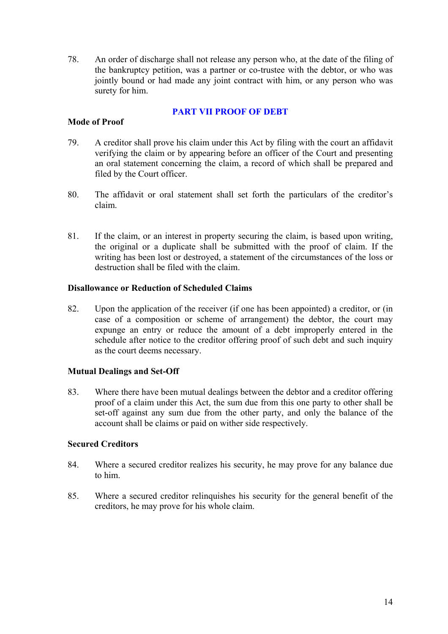<span id="page-16-0"></span>78. An order of discharge shall not release any person who, at the date of the filing of the bankruptcy petition, was a partner or co-trustee with the debtor, or who was jointly bound or had made any joint contract with him, or any person who was surety for him.

### **[PART VII PROOF OF DEBT](#page-1-0)**

#### **Mode of Proof**

- 79. A creditor shall prove his claim under this Act by filing with the court an affidavit verifying the claim or by appearing before an officer of the Court and presenting an oral statement concerning the claim, a record of which shall be prepared and filed by the Court officer.
- 80. The affidavit or oral statement shall set forth the particulars of the creditor's claim.
- 81. If the claim, or an interest in property securing the claim, is based upon writing, the original or a duplicate shall be submitted with the proof of claim. If the writing has been lost or destroyed, a statement of the circumstances of the loss or destruction shall be filed with the claim.

### **Disallowance or Reduction of Scheduled Claims**

82. Upon the application of the receiver (if one has been appointed) a creditor, or (in case of a composition or scheme of arrangement) the debtor, the court may expunge an entry or reduce the amount of a debt improperly entered in the schedule after notice to the creditor offering proof of such debt and such inquiry as the court deems necessary.

#### **Mutual Dealings and Set-Off**

83. Where there have been mutual dealings between the debtor and a creditor offering proof of a claim under this Act, the sum due from this one party to other shall be set-off against any sum due from the other party, and only the balance of the account shall be claims or paid on wither side respectively.

#### **Secured Creditors**

- 84. Where a secured creditor realizes his security, he may prove for any balance due to him.
- 85. Where a secured creditor relinquishes his security for the general benefit of the creditors, he may prove for his whole claim.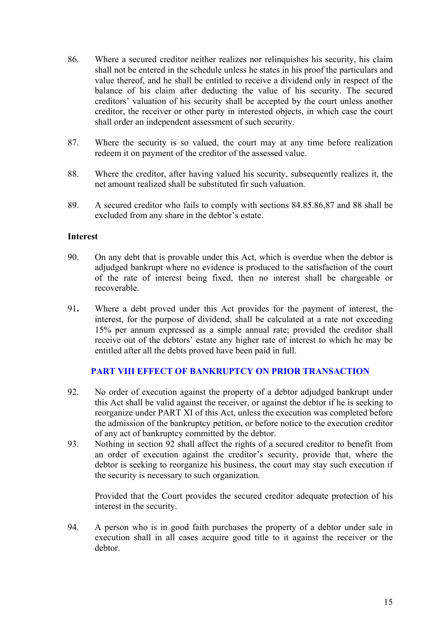- <span id="page-17-0"></span>86. Where a secured creditor neither realizes nor relinquishes his security, his claim shall not be entered in the schedule unless he states in his proof the particulars and value thereof, and he shall be entitled to receive a dividend only in respect of the balance of his claim after deducting the value of his security. The secured creditors' valuation of his security shall be accepted by the court unless another creditor, the receiver or other party in interested objects, in which case the court shall order an independent assessment of such security.
- 87. Where the security is so valued, the court may at any time before realization redeem it on payment of the creditor of the assessed value.
- 88. Where the creditor, after having valued his security, subsequently realizes it, the net amount realized shall be substituted fir such valuation.
- 89. A secured creditor who fails to comply with sections 84.85.86,87 and 88 shall be excluded from any share in the debtor's estate.

#### **Interest**

- 90. On any debt that is provable under this Act, which is overdue when the debtor is adjudged bankrupt where no evidence is produced to the satisfaction of the court of the rate of interest being fixed, then no interest shall be chargeable or recoverable.
- 91**.** Where a debt proved under this Act provides for the payment of interest, the interest, for the purpose of dividend, shall be calculated at a rate not exceeding 15% per annum expressed as a simple annual rate; provided the creditor shall receive out of the debtors' estate any higher rate of interest to which he may be entitled after all the debts proved have been paid in full.

# **[PART VIII EFFECT OF BANKRUPTCY ON PRIOR TRANSACTION](#page-2-0)**

- 92. No order of execution against the property of a debtor adjudged bankrupt under this Act shall be valid against the receiver, or against the debtor if he is seeking to reorganize under PART XI of this Act, unless the execution was completed before the admission of the bankruptcy petition, or before notice to the execution creditor of any act of bankruptcy committed by the debtor.
- 93. Nothing in section 92 shall affect the rights of a secured creditor to benefit from an order of execution against the creditor's security, provide that, where the debtor is seeking to reorganize his business, the court may stay such execution if the security is necessary to such organization.

Provided that the Court provides the secured creditor adequate protection of his interest in the security.

94. A person who is in good faith purchases the property of a debtor under sale in execution shall in all cases acquire good title to it against the receiver or the debtor.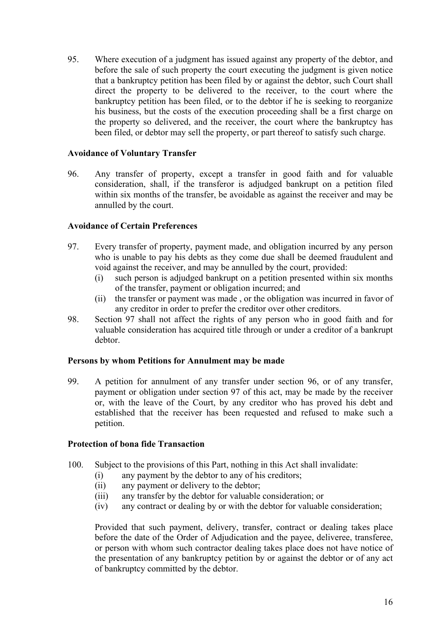95. Where execution of a judgment has issued against any property of the debtor, and before the sale of such property the court executing the judgment is given notice that a bankruptcy petition has been filed by or against the debtor, such Court shall direct the property to be delivered to the receiver, to the court where the bankruptcy petition has been filed, or to the debtor if he is seeking to reorganize his business, but the costs of the execution proceeding shall be a first charge on the property so delivered, and the receiver, the court where the bankruptcy has been filed, or debtor may sell the property, or part thereof to satisfy such charge.

### **Avoidance of Voluntary Transfer**

96. Any transfer of property, except a transfer in good faith and for valuable consideration, shall, if the transferor is adjudged bankrupt on a petition filed within six months of the transfer, be avoidable as against the receiver and may be annulled by the court.

### **Avoidance of Certain Preferences**

- 97. Every transfer of property, payment made, and obligation incurred by any person who is unable to pay his debts as they come due shall be deemed fraudulent and void against the receiver, and may be annulled by the court, provided:
	- (i) such person is adjudged bankrupt on a petition presented within six months of the transfer, payment or obligation incurred; and
	- (ii) the transfer or payment was made , or the obligation was incurred in favor of any creditor in order to prefer the creditor over other creditors.
- 98. Section 97 shall not affect the rights of any person who in good faith and for valuable consideration has acquired title through or under a creditor of a bankrupt debtor.

#### **Persons by whom Petitions for Annulment may be made**

99. A petition for annulment of any transfer under section 96, or of any transfer, payment or obligation under section 97 of this act, may be made by the receiver or, with the leave of the Court, by any creditor who has proved his debt and established that the receiver has been requested and refused to make such a petition.

#### **Protection of bona fide Transaction**

- 100. Subject to the provisions of this Part, nothing in this Act shall invalidate:
	- (i) any payment by the debtor to any of his creditors;
	- (ii) any payment or delivery to the debtor;
	- (iii) any transfer by the debtor for valuable consideration; or
	- (iv) any contract or dealing by or with the debtor for valuable consideration;

Provided that such payment, delivery, transfer, contract or dealing takes place before the date of the Order of Adjudication and the payee, deliveree, transferee, or person with whom such contractor dealing takes place does not have notice of the presentation of any bankruptcy petition by or against the debtor or of any act of bankruptcy committed by the debtor.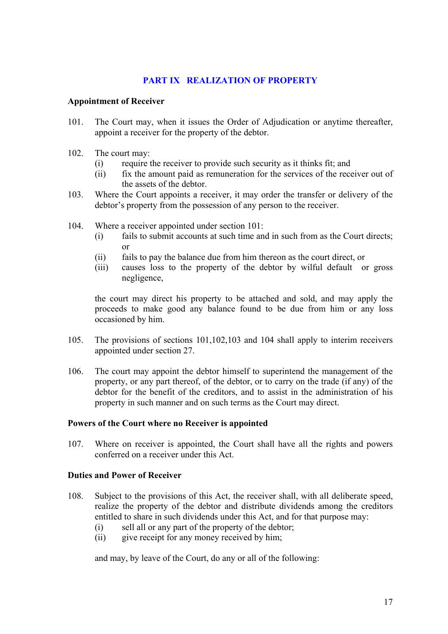## **[PART IX REALIZATION OF PROPERTY](#page-2-0)**

#### <span id="page-19-0"></span>**Appointment of Receiver**

- 101. The Court may, when it issues the Order of Adjudication or anytime thereafter, appoint a receiver for the property of the debtor.
- 102. The court may:
	- (i) require the receiver to provide such security as it thinks fit; and
	- (ii) fix the amount paid as remuneration for the services of the receiver out of the assets of the debtor.
- 103. Where the Court appoints a receiver, it may order the transfer or delivery of the debtor's property from the possession of any person to the receiver.
- 104. Where a receiver appointed under section 101:
	- (i) fails to submit accounts at such time and in such from as the Court directs; or
	- (ii) fails to pay the balance due from him thereon as the court direct, or
	- (iii) causes loss to the property of the debtor by wilful default or gross negligence,

the court may direct his property to be attached and sold, and may apply the proceeds to make good any balance found to be due from him or any loss occasioned by him.

- 105. The provisions of sections 101,102,103 and 104 shall apply to interim receivers appointed under section 27.
- 106. The court may appoint the debtor himself to superintend the management of the property, or any part thereof, of the debtor, or to carry on the trade (if any) of the debtor for the benefit of the creditors, and to assist in the administration of his property in such manner and on such terms as the Court may direct.

#### **Powers of the Court where no Receiver is appointed**

107. Where on receiver is appointed, the Court shall have all the rights and powers conferred on a receiver under this Act.

#### **Duties and Power of Receiver**

- 108. Subject to the provisions of this Act, the receiver shall, with all deliberate speed, realize the property of the debtor and distribute dividends among the creditors entitled to share in such dividends under this Act, and for that purpose may:
	- (i) sell all or any part of the property of the debtor;
	- (ii) give receipt for any money received by him;

and may, by leave of the Court, do any or all of the following: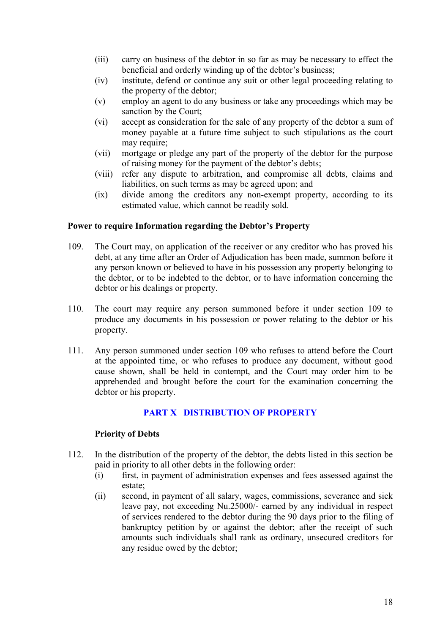- <span id="page-20-0"></span>(iii) carry on business of the debtor in so far as may be necessary to effect the beneficial and orderly winding up of the debtor's business;
- (iv) institute, defend or continue any suit or other legal proceeding relating to the property of the debtor;
- (v) employ an agent to do any business or take any proceedings which may be sanction by the Court;
- (vi) accept as consideration for the sale of any property of the debtor a sum of money payable at a future time subject to such stipulations as the court may require;
- (vii) mortgage or pledge any part of the property of the debtor for the purpose of raising money for the payment of the debtor's debts;
- (viii) refer any dispute to arbitration, and compromise all debts, claims and liabilities, on such terms as may be agreed upon; and
- (ix) divide among the creditors any non-exempt property, according to its estimated value, which cannot be readily sold.

### **Power to require Information regarding the Debtor's Property**

- 109. The Court may, on application of the receiver or any creditor who has proved his debt, at any time after an Order of Adjudication has been made, summon before it any person known or believed to have in his possession any property belonging to the debtor, or to be indebted to the debtor, or to have information concerning the debtor or his dealings or property.
- 110. The court may require any person summoned before it under section 109 to produce any documents in his possession or power relating to the debtor or his property.
- 111. Any person summoned under section 109 who refuses to attend before the Court at the appointed time, or who refuses to produce any document, without good cause shown, shall be held in contempt, and the Court may order him to be apprehended and brought before the court for the examination concerning the debtor or his property.

## **[PART X DISTRIBUTION OF PROPERTY](#page-2-0)**

## **Priority of Debts**

- 112. In the distribution of the property of the debtor, the debts listed in this section be paid in priority to all other debts in the following order:
	- (i) first, in payment of administration expenses and fees assessed against the estate;
	- (ii) second, in payment of all salary, wages, commissions, severance and sick leave pay, not exceeding Nu.25000/- earned by any individual in respect of services rendered to the debtor during the 90 days prior to the filing of bankruptcy petition by or against the debtor; after the receipt of such amounts such individuals shall rank as ordinary, unsecured creditors for any residue owed by the debtor;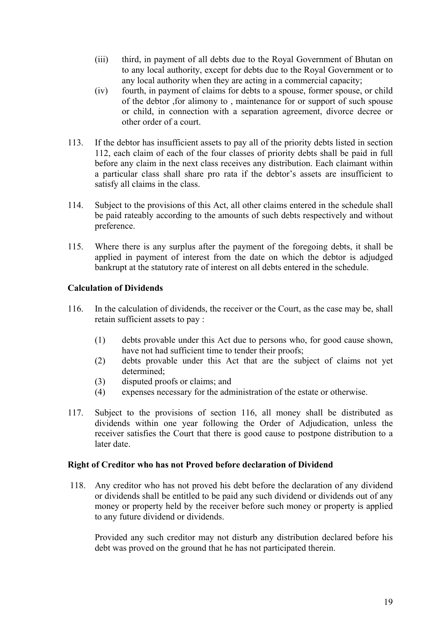- (iii) third, in payment of all debts due to the Royal Government of Bhutan on to any local authority, except for debts due to the Royal Government or to any local authority when they are acting in a commercial capacity;
- (iv) fourth, in payment of claims for debts to a spouse, former spouse, or child of the debtor ,for alimony to , maintenance for or support of such spouse or child, in connection with a separation agreement, divorce decree or other order of a court.
- 113. If the debtor has insufficient assets to pay all of the priority debts listed in section 112, each claim of each of the four classes of priority debts shall be paid in full before any claim in the next class receives any distribution. Each claimant within a particular class shall share pro rata if the debtor's assets are insufficient to satisfy all claims in the class.
- 114. Subject to the provisions of this Act, all other claims entered in the schedule shall be paid rateably according to the amounts of such debts respectively and without preference.
- 115. Where there is any surplus after the payment of the foregoing debts, it shall be applied in payment of interest from the date on which the debtor is adjudged bankrupt at the statutory rate of interest on all debts entered in the schedule.

# **Calculation of Dividends**

- 116. In the calculation of dividends, the receiver or the Court, as the case may be, shall retain sufficient assets to pay :
	- (1) debts provable under this Act due to persons who, for good cause shown, have not had sufficient time to tender their proofs;
	- (2) debts provable under this Act that are the subject of claims not yet determined;
	- (3) disputed proofs or claims; and
	- (4) expenses necessary for the administration of the estate or otherwise.
- 117. Subject to the provisions of section 116, all money shall be distributed as dividends within one year following the Order of Adjudication, unless the receiver satisfies the Court that there is good cause to postpone distribution to a later date.

## **Right of Creditor who has not Proved before declaration of Dividend**

118. Any creditor who has not proved his debt before the declaration of any dividend or dividends shall be entitled to be paid any such dividend or dividends out of any money or property held by the receiver before such money or property is applied to any future dividend or dividends.

Provided any such creditor may not disturb any distribution declared before his debt was proved on the ground that he has not participated therein.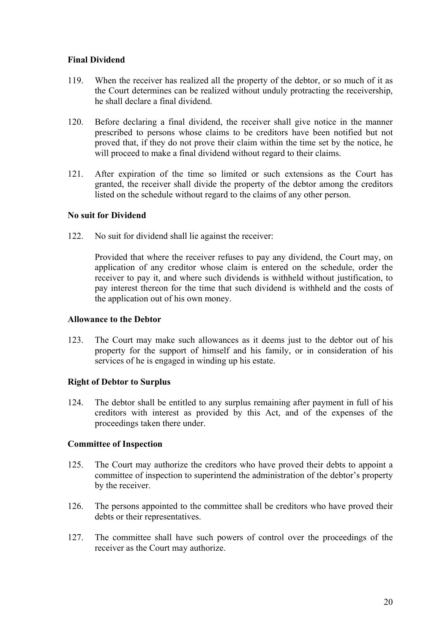### **Final Dividend**

- 119. When the receiver has realized all the property of the debtor, or so much of it as the Court determines can be realized without unduly protracting the receivership, he shall declare a final dividend.
- 120. Before declaring a final dividend, the receiver shall give notice in the manner prescribed to persons whose claims to be creditors have been notified but not proved that, if they do not prove their claim within the time set by the notice, he will proceed to make a final dividend without regard to their claims.
- 121. After expiration of the time so limited or such extensions as the Court has granted, the receiver shall divide the property of the debtor among the creditors listed on the schedule without regard to the claims of any other person.

### **No suit for Dividend**

122. No suit for dividend shall lie against the receiver:

Provided that where the receiver refuses to pay any dividend, the Court may, on application of any creditor whose claim is entered on the schedule, order the receiver to pay it, and where such dividends is withheld without justification, to pay interest thereon for the time that such dividend is withheld and the costs of the application out of his own money.

#### **Allowance to the Debtor**

123. The Court may make such allowances as it deems just to the debtor out of his property for the support of himself and his family, or in consideration of his services of he is engaged in winding up his estate.

## **Right of Debtor to Surplus**

124. The debtor shall be entitled to any surplus remaining after payment in full of his creditors with interest as provided by this Act, and of the expenses of the proceedings taken there under.

#### **Committee of Inspection**

- 125. The Court may authorize the creditors who have proved their debts to appoint a committee of inspection to superintend the administration of the debtor's property by the receiver.
- 126. The persons appointed to the committee shall be creditors who have proved their debts or their representatives.
- 127. The committee shall have such powers of control over the proceedings of the receiver as the Court may authorize.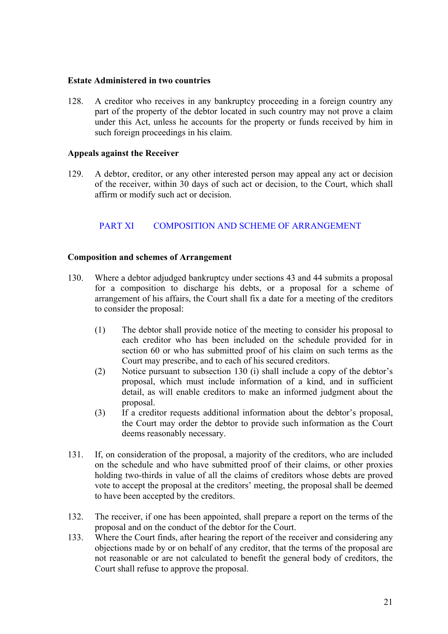#### <span id="page-23-0"></span>**Estate Administered in two countries**

128. A creditor who receives in any bankruptcy proceeding in a foreign country any part of the property of the debtor located in such country may not prove a claim under this Act, unless he accounts for the property or funds received by him in such foreign proceedings in his claim.

#### **Appeals against the Receiver**

129. A debtor, creditor, or any other interested person may appeal any act or decision of the receiver, within 30 days of such act or decision, to the Court, which shall affirm or modify such act or decision.

# PART XI COMPOSITION AND SCHEME OF ARRANGEMENT

#### **Composition and schemes of Arrangement**

- 130. Where a debtor adjudged bankruptcy under sections 43 and 44 submits a proposal for a composition to discharge his debts, or a proposal for a scheme of arrangement of his affairs, the Court shall fix a date for a meeting of the creditors to consider the proposal:
	- (1) The debtor shall provide notice of the meeting to consider his proposal to each creditor who has been included on the schedule provided for in section 60 or who has submitted proof of his claim on such terms as the Court may prescribe, and to each of his secured creditors.
	- (2) Notice pursuant to subsection 130 (i) shall include a copy of the debtor's proposal, which must include information of a kind, and in sufficient detail, as will enable creditors to make an informed judgment about the proposal.
	- (3) If a creditor requests additional information about the debtor's proposal, the Court may order the debtor to provide such information as the Court deems reasonably necessary.
- 131. If, on consideration of the proposal, a majority of the creditors, who are included on the schedule and who have submitted proof of their claims, or other proxies holding two-thirds in value of all the claims of creditors whose debts are proved vote to accept the proposal at the creditors' meeting, the proposal shall be deemed to have been accepted by the creditors.
- 132. The receiver, if one has been appointed, shall prepare a report on the terms of the proposal and on the conduct of the debtor for the Court.
- 133. Where the Court finds, after hearing the report of the receiver and considering any objections made by or on behalf of any creditor, that the terms of the proposal are not reasonable or are not calculated to benefit the general body of creditors, the Court shall refuse to approve the proposal.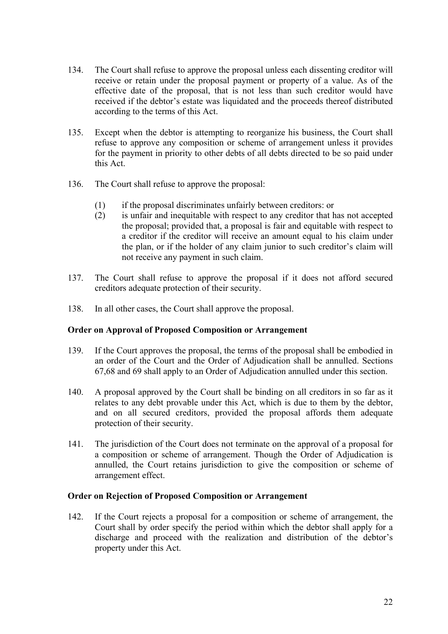- 134. The Court shall refuse to approve the proposal unless each dissenting creditor will receive or retain under the proposal payment or property of a value. As of the effective date of the proposal, that is not less than such creditor would have received if the debtor's estate was liquidated and the proceeds thereof distributed according to the terms of this Act.
- 135. Except when the debtor is attempting to reorganize his business, the Court shall refuse to approve any composition or scheme of arrangement unless it provides for the payment in priority to other debts of all debts directed to be so paid under this Act.
- 136. The Court shall refuse to approve the proposal:
	- (1) if the proposal discriminates unfairly between creditors: or
	- (2) is unfair and inequitable with respect to any creditor that has not accepted the proposal; provided that, a proposal is fair and equitable with respect to a creditor if the creditor will receive an amount equal to his claim under the plan, or if the holder of any claim junior to such creditor's claim will not receive any payment in such claim.
- 137. The Court shall refuse to approve the proposal if it does not afford secured creditors adequate protection of their security.
- 138. In all other cases, the Court shall approve the proposal.

#### **Order on Approval of Proposed Composition or Arrangement**

- 139. If the Court approves the proposal, the terms of the proposal shall be embodied in an order of the Court and the Order of Adjudication shall be annulled. Sections 67,68 and 69 shall apply to an Order of Adjudication annulled under this section.
- 140. A proposal approved by the Court shall be binding on all creditors in so far as it relates to any debt provable under this Act, which is due to them by the debtor, and on all secured creditors, provided the proposal affords them adequate protection of their security.
- 141. The jurisdiction of the Court does not terminate on the approval of a proposal for a composition or scheme of arrangement. Though the Order of Adjudication is annulled, the Court retains jurisdiction to give the composition or scheme of arrangement effect.

#### **Order on Rejection of Proposed Composition or Arrangement**

142. If the Court rejects a proposal for a composition or scheme of arrangement, the Court shall by order specify the period within which the debtor shall apply for a discharge and proceed with the realization and distribution of the debtor's property under this Act.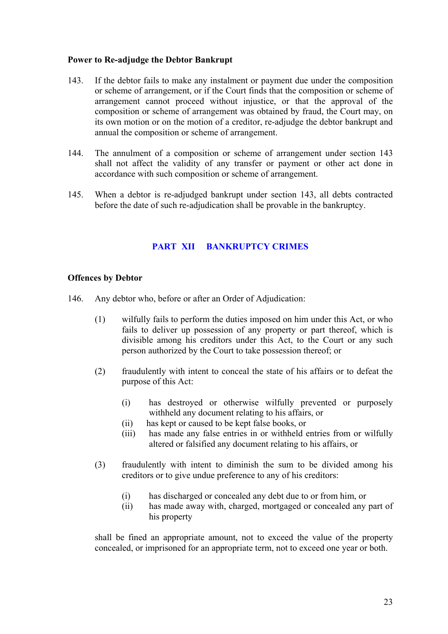### <span id="page-25-0"></span>**Power to Re-adjudge the Debtor Bankrupt**

- 143. If the debtor fails to make any instalment or payment due under the composition or scheme of arrangement, or if the Court finds that the composition or scheme of arrangement cannot proceed without injustice, or that the approval of the composition or scheme of arrangement was obtained by fraud, the Court may, on its own motion or on the motion of a creditor, re-adjudge the debtor bankrupt and annual the composition or scheme of arrangement.
- 144. The annulment of a composition or scheme of arrangement under section 143 shall not affect the validity of any transfer or payment or other act done in accordance with such composition or scheme of arrangement.
- 145. When a debtor is re-adjudged bankrupt under section 143, all debts contracted before the date of such re-adjudication shall be provable in the bankruptcy.

## **[PART XII BANKRUPTCY CRIMES](#page-2-0)**

#### **Offences by Debtor**

- 146. Any debtor who, before or after an Order of Adjudication:
	- (1) wilfully fails to perform the duties imposed on him under this Act, or who fails to deliver up possession of any property or part thereof, which is divisible among his creditors under this Act, to the Court or any such person authorized by the Court to take possession thereof; or
	- (2) fraudulently with intent to conceal the state of his affairs or to defeat the purpose of this Act:
		- (i) has destroyed or otherwise wilfully prevented or purposely withheld any document relating to his affairs, or
		- (ii) has kept or caused to be kept false books, or
		- (iii) has made any false entries in or withheld entries from or wilfully altered or falsified any document relating to his affairs, or
	- (3) fraudulently with intent to diminish the sum to be divided among his creditors or to give undue preference to any of his creditors:
		- (i) has discharged or concealed any debt due to or from him, or
		- (ii) has made away with, charged, mortgaged or concealed any part of his property

shall be fined an appropriate amount, not to exceed the value of the property concealed, or imprisoned for an appropriate term, not to exceed one year or both.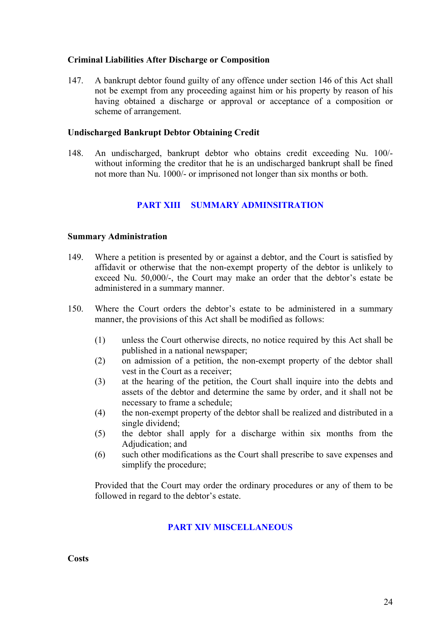### <span id="page-26-0"></span>**Criminal Liabilities After Discharge or Composition**

147. A bankrupt debtor found guilty of any offence under section 146 of this Act shall not be exempt from any proceeding against him or his property by reason of his having obtained a discharge or approval or acceptance of a composition or scheme of arrangement.

#### **Undischarged Bankrupt Debtor Obtaining Credit**

148. An undischarged, bankrupt debtor who obtains credit exceeding Nu. 100/ without informing the creditor that he is an undischarged bankrupt shall be fined not more than Nu. 1000/- or imprisoned not longer than six months or both.

## **[PART XIII SUMMARY ADMINSITRATION](#page-2-0)**

#### **Summary Administration**

- 149. Where a petition is presented by or against a debtor, and the Court is satisfied by affidavit or otherwise that the non-exempt property of the debtor is unlikely to exceed Nu. 50,000/-, the Court may make an order that the debtor's estate be administered in a summary manner.
- 150. Where the Court orders the debtor's estate to be administered in a summary manner, the provisions of this Act shall be modified as follows:
	- (1) unless the Court otherwise directs, no notice required by this Act shall be published in a national newspaper;
	- (2) on admission of a petition, the non-exempt property of the debtor shall vest in the Court as a receiver;
	- (3) at the hearing of the petition, the Court shall inquire into the debts and assets of the debtor and determine the same by order, and it shall not be necessary to frame a schedule;
	- (4) the non-exempt property of the debtor shall be realized and distributed in a single dividend;
	- (5) the debtor shall apply for a discharge within six months from the Adjudication; and
	- (6) such other modifications as the Court shall prescribe to save expenses and simplify the procedure;

Provided that the Court may order the ordinary procedures or any of them to be followed in regard to the debtor's estate.

#### **[PART XIV MISCELLANEOUS](#page-2-0)**